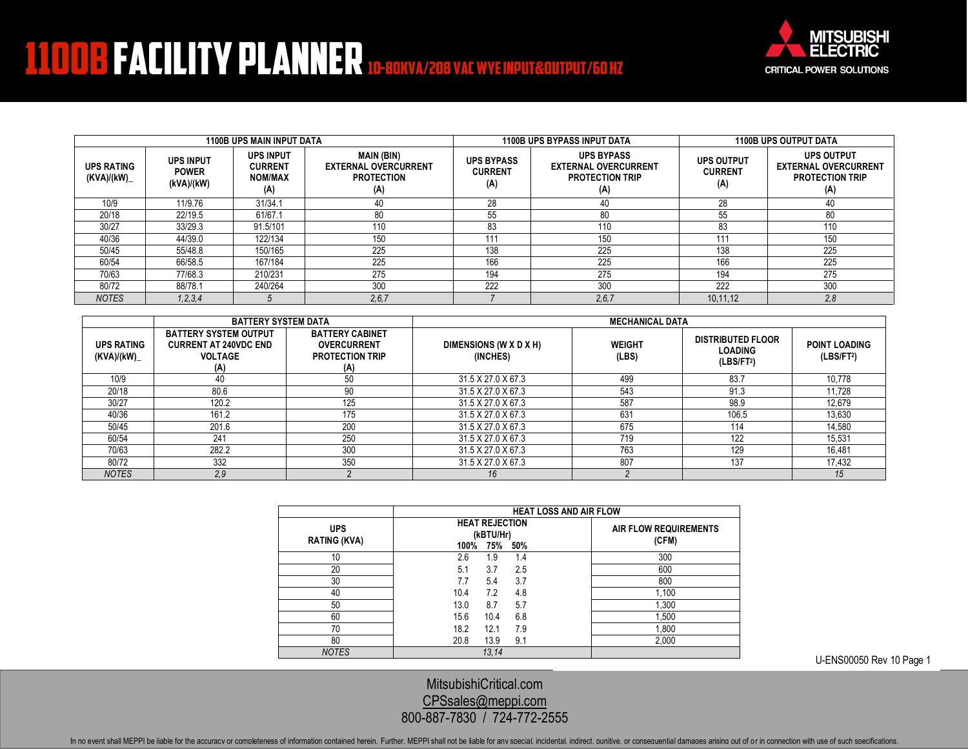## **1100B FACILITY PLANNER 10-80KVA/208 VAC WYEINPUT&OUTPUT/60 HZ**

Mitsubishi Electric



| <b>1100B UPS MAIN INPUT DATA</b> |                                                |                                                             |                                                                              |                                            | <b>1100B UPS BYPASS INPUT DATA</b>                                                | <b>1100B UPS OUTPUT DATA</b>               |                                                                                   |
|----------------------------------|------------------------------------------------|-------------------------------------------------------------|------------------------------------------------------------------------------|--------------------------------------------|-----------------------------------------------------------------------------------|--------------------------------------------|-----------------------------------------------------------------------------------|
| <b>UPS RATING</b><br>(KVA)/(kW)_ | <b>UPS INPUT</b><br><b>POWER</b><br>(kVA)/(kW) | <b>UPS INPUT</b><br><b>CURRENT</b><br><b>NOM/MAX</b><br>(A) | <b>MAIN (BIN)</b><br><b>EXTERNAL OVERCURRENT</b><br><b>PROTECTION</b><br>(A) | <b>UPS BYPASS</b><br><b>CURRENT</b><br>(A) | <b>UPS BYPASS</b><br><b>EXTERNAL OVERCURRENT</b><br><b>PROTECTION TRIP</b><br>(A) | <b>UPS OUTPUT</b><br><b>CURRENT</b><br>(A) | <b>UPS OUTPUT</b><br><b>EXTERNAL OVERCURRENT</b><br><b>PROTECTION TRIP</b><br>(A) |
| 10/9                             | 11/9.76                                        | 31/34.1                                                     | 40                                                                           | 28                                         | 40                                                                                | 28                                         |                                                                                   |
| 20/18                            | 22/19.5                                        | 61/67.1                                                     | 80                                                                           | 55                                         | 80                                                                                | 55                                         | 80                                                                                |
| 30/27                            | 33/29.3                                        | 91.5/101                                                    | 110                                                                          | 83                                         | 110                                                                               | 83                                         | 110                                                                               |
| 40/36                            | 44/39.0                                        | 122/134                                                     | 150                                                                          | 111                                        | 150                                                                               | 111                                        | 150                                                                               |
| 50/45                            | 55/48.8                                        | 150/165                                                     | 225                                                                          | 138                                        | 225                                                                               | 138                                        | 225                                                                               |
| 60/54                            | 66/58.5                                        | 167/184                                                     | 225                                                                          | 166                                        | 225                                                                               | 166                                        | 225                                                                               |
| 70/63                            | 77/68.3                                        | 210/231                                                     | 275                                                                          | 194                                        | 275                                                                               | 194                                        | 275                                                                               |
| 80/72                            | 88/78.1                                        | 240/264                                                     | 300                                                                          | 222                                        | 300                                                                               | 222                                        | 300                                                                               |
| <b>NOTES</b>                     | 1, 2, 3, 4                                     |                                                             | 2,6,7                                                                        |                                            | 2,6,7                                                                             | 10,11,12                                   | 2.8                                                                               |

|                                 | <b>BATTERY SYSTEM DATA</b>                                                            |                                                                               | <b>MECHANICAL DATA</b>             |                        |                                                                      |                                                |
|---------------------------------|---------------------------------------------------------------------------------------|-------------------------------------------------------------------------------|------------------------------------|------------------------|----------------------------------------------------------------------|------------------------------------------------|
| <b>UPS RATING</b><br>(KVA)/(kW) | <b>BATTERY SYSTEM OUTPUT</b><br><b>CURRENT AT 240VDC END</b><br><b>VOLTAGE</b><br>(A) | <b>BATTERY CABINET</b><br><b>OVERCURRENT</b><br><b>PROTECTION TRIP</b><br>(A) | DIMENSIONS (W X D X H)<br>(INCHES) | <b>WEIGHT</b><br>(LBS) | <b>DISTRIBUTED FLOOR</b><br><b>LOADING</b><br>(LBS/FT <sup>2</sup> ) | <b>POINT LOADING</b><br>(LBS/FT <sup>2</sup> ) |
| 10/9                            | 4U                                                                                    | 50                                                                            | 31.5 X 27.0 X 67.3                 | 499                    | 83.7                                                                 | 10,778                                         |
| 20/18                           | 80.6                                                                                  | 90                                                                            | 31.5 X 27.0 X 67.3                 | 543                    | 91.3                                                                 | 11.728                                         |
| 30/27                           | 120.2                                                                                 | 125                                                                           | 31.5 X 27.0 X 67.3                 | 587                    | 98.9                                                                 | 12,679                                         |
| 40/36                           | 161.2                                                                                 | 175                                                                           | 31.5 X 27.0 X 67.3                 | 63 <sup>′</sup>        | 106.5                                                                | 13,630                                         |
| 50/45                           | 201.6                                                                                 | 200                                                                           | 31.5 X 27.0 X 67.3                 | 675                    | 114                                                                  | 14.580                                         |
| 60/54                           | 241                                                                                   | 250                                                                           | 31.5 X 27.0 X 67.3                 | 719                    | 122                                                                  | 15.531                                         |
| 70/63                           | 282.2                                                                                 | 300                                                                           | 31.5 X 27.0 X 67.3                 | 763                    | 129                                                                  | 16,481                                         |
| 80/72                           | 332                                                                                   | 350                                                                           | 31.5 X 27.0 X 67.3                 | 807                    | 137                                                                  | 17,432                                         |
| <b>NOTES</b>                    | 2,9                                                                                   |                                                                               | 16                                 |                        |                                                                      | 15                                             |

|                                   | <b>HEAT LOSS AND AIR FLOW</b>                            |                                |  |  |  |
|-----------------------------------|----------------------------------------------------------|--------------------------------|--|--|--|
| <b>UPS</b><br><b>RATING (KVA)</b> | <b>HEAT REJECTION</b><br>(kBTU/Hr)<br>75%<br>50%<br>100% | AIR FLOW REQUIREMENTS<br>(CFM) |  |  |  |
| 10                                | 2.6<br>1.9<br>1.4                                        | 300                            |  |  |  |
| 20                                | 5.1<br>3.7<br>2.5                                        | 600                            |  |  |  |
| 30                                | 3.7<br>7.7<br>5.4                                        | 800                            |  |  |  |
| 40                                | 10.4<br>7.2<br>4.8                                       | 1,100                          |  |  |  |
| 50                                | 13.0<br>8.7<br>5.7                                       | 1,300                          |  |  |  |
| 60                                | 15.6<br>6.8<br>10.4                                      | 1,500                          |  |  |  |
| 70                                | 18.2<br>12.1<br>7.9                                      | 1,800                          |  |  |  |
| 80                                | 20.8<br>13.9<br>9.1                                      | 2,000                          |  |  |  |
| <b>NOTES</b>                      | 13.14                                                    |                                |  |  |  |

U-ENS00050 Rev 10 Page 1

[MitsubishiCritical.com](http://www.mitsubishicritical.com/) [CPSsales@meppi.com](mailto:CPSsales@meppi.com) 800-887-7830 / 724-772-2555

In no event shall MEPPI be liable for the accuracy or completeness of information contained herein. Further, MEPPI shall not be liable for any special, incidental, indirect, punitive, or consequential damages arising out o